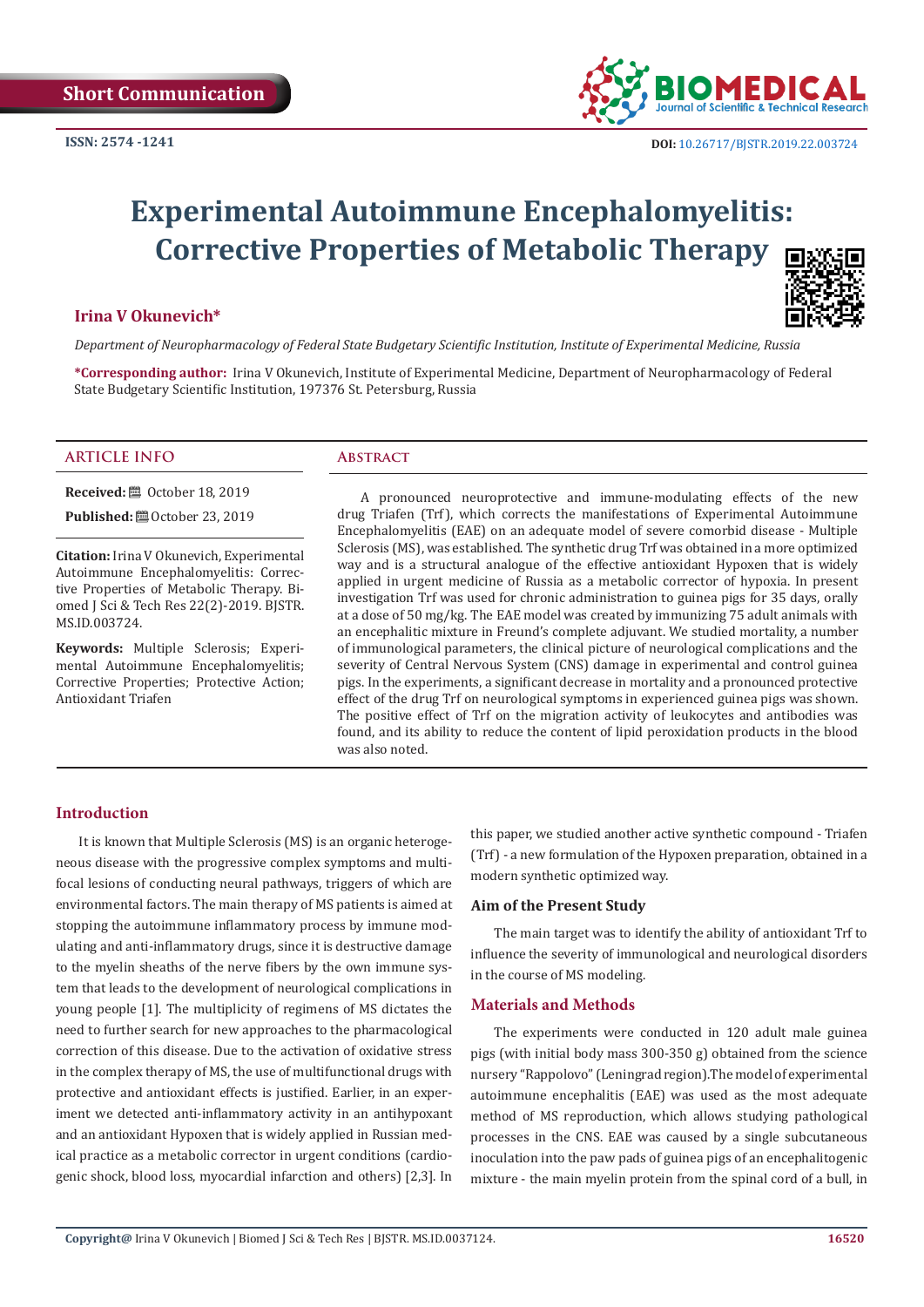

# **Experimental Autoimmune Encephalomyelitis: Corrective Properties of Metabolic Therapy**

# **Irina V Okunevich\***



*Department of Neuropharmacology of Federal State Budgetary Scientific Institution, Institute of Experimental Medicine, Russia*

**\*Corresponding author:** Irina V Okunevich, Institute of Experimental Medicine, Department of Neuropharmacology of Federal State Budgetary Scientific Institution, 197376 St. Petersburg, Russia

#### **ARTICLE INFO Abstract**

**Received:** ■ October 18, 2019

**Published:** ■ October 23, 2019

**Citation:** Irina V Okunevich, Experimental Autoimmune Encephalomyelitis: Corrective Properties of Metabolic Therapy. Biomed J Sci & Tech Res 22(2)-2019. BJSTR. MS.ID.003724.

**Keywords:** Multiple Sclerosis; Experimental Autoimmune Encephalomyelitis; Corrective Properties; Protective Action; Antioxidant Triafen

A pronounced neuroprotective and immune-modulating effects of the new drug Triafen (Trf), which corrects the manifestations of Experimental Autoimmune Encephalomyelitis (EAE) on an adequate model of severe comorbid disease - Multiple Sclerosis (MS), was established. The synthetic drug Trf was obtained in a more optimized way and is a structural analogue of the effective antioxidant Hypoxen that is widely applied in urgent medicine of Russia as a metabolic corrector of hypoxia. In present investigation Trf was used for chronic administration to guinea pigs for 35 days, orally at a dose of 50 mg/kg. The EAE model was created by immunizing 75 adult animals with an encephalitic mixture in Freund's complete adjuvant. We studied mortality, a number of immunological parameters, the clinical picture of neurological complications and the severity of Central Nervous System (CNS) damage in experimental and control guinea pigs. In the experiments, a significant decrease in mortality and a pronounced protective effect of the drug Trf on neurological symptoms in experienced guinea pigs was shown. The positive effect of Trf on the migration activity of leukocytes and antibodies was found, and its ability to reduce the content of lipid peroxidation products in the blood was also noted.

#### **Introduction**

It is known that Multiple Sclerosis (MS) is an organic heterogeneous disease with the progressive complex symptoms and multifocal lesions of conducting neural pathways, triggers of which are environmental factors. The main therapy of MS patients is aimed at stopping the autoimmune inflammatory process by immune modulating and anti-inflammatory drugs, since it is destructive damage to the myelin sheaths of the nerve fibers by the own immune system that leads to the development of neurological complications in young people [1]. The multiplicity of regimens of MS dictates the need to further search for new approaches to the pharmacological correction of this disease. Due to the activation of oxidative stress in the complex therapy of MS, the use of multifunctional drugs with protective and antioxidant effects is justified. Earlier, in an experiment we detected anti-inflammatory activity in an antihypoxant and an antioxidant Hypoxen that is widely applied in Russian medical practice as a metabolic corrector in urgent conditions (cardiogenic shock, blood loss, myocardial infarction and others) [2,3]. In

this paper, we studied another active synthetic compound - Triafen (Trf) - a new formulation of the Hypoxen preparation, obtained in a modern synthetic optimized way.

# **Aim of the Present Study**

The main target was to identify the ability of antioxidant Trf to influence the severity of immunological and neurological disorders in the course of MS modeling.

#### **Materials and Methods**

The experiments were conducted in 120 adult male guinea pigs (with initial body mass 300-350 g) obtained from the science nursery "Rappolovo" (Leningrad region).The model of experimental autoimmune encephalitis (EAE) was used as the most adequate method of MS reproduction, which allows studying pathological processes in the CNS. EAE was caused by a single subcutaneous inoculation into the paw pads of guinea pigs of an encephalitogenic mixture - the main myelin protein from the spinal cord of a bull, in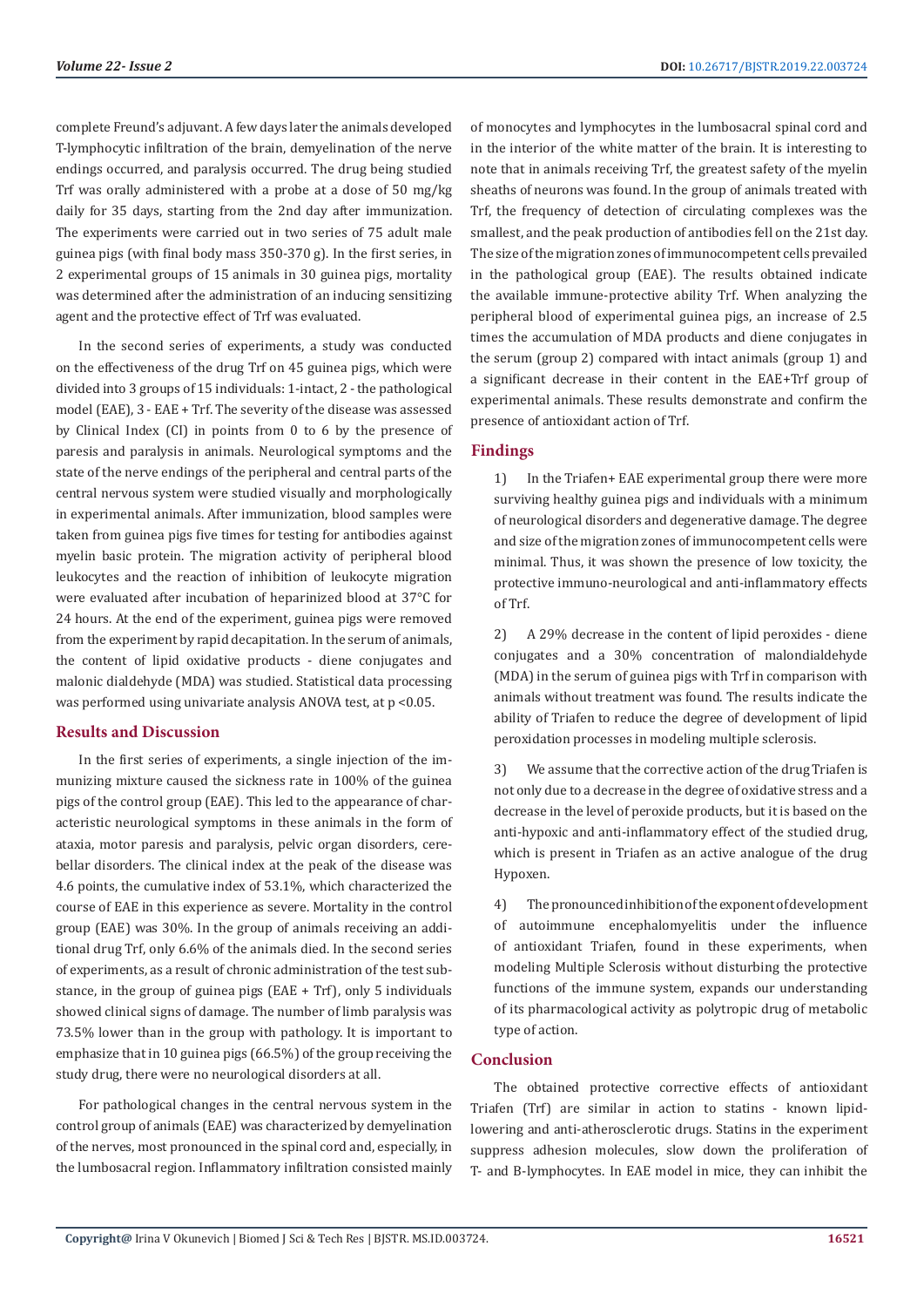complete Freund's adjuvant. A few days later the animals developed T-lymphocytic infiltration of the brain, demyelination of the nerve endings occurred, and paralysis occurred. The drug being studied Trf was orally administered with a probe at a dose of 50 mg/kg daily for 35 days, starting from the 2nd day after immunization. The experiments were carried out in two series of 75 adult male guinea pigs (with final body mass 350-370 g). In the first series, in 2 experimental groups of 15 animals in 30 guinea pigs, mortality was determined after the administration of an inducing sensitizing agent and the protective effect of Trf was evaluated.

In the second series of experiments, a study was conducted on the effectiveness of the drug Trf on 45 guinea pigs, which were divided into 3 groups of 15 individuals: 1-intact, 2 - the pathological model (EAE), 3 - EAE + Trf. The severity of the disease was assessed by Clinical Index (CI) in points from 0 to 6 by the presence of paresis and paralysis in animals. Neurological symptoms and the state of the nerve endings of the peripheral and central parts of the central nervous system were studied visually and morphologically in experimental animals. After immunization, blood samples were taken from guinea pigs five times for testing for antibodies against myelin basic protein. The migration activity of peripheral blood leukocytes and the reaction of inhibition of leukocyte migration were evaluated after incubation of heparinized blood at 37°C for 24 hours. At the end of the experiment, guinea pigs were removed from the experiment by rapid decapitation. In the serum of animals, the content of lipid oxidative products - diene conjugates and malonic dialdehyde (MDA) was studied. Statistical data processing was performed using univariate analysis ANOVA test, at p <0.05.

# **Results and Discussion**

In the first series of experiments, a single injection of the immunizing mixture caused the sickness rate in 100% of the guinea pigs of the control group (EAE). This led to the appearance of characteristic neurological symptoms in these animals in the form of ataxia, motor paresis and paralysis, pelvic organ disorders, cerebellar disorders. The clinical index at the peak of the disease was 4.6 points, the cumulative index of 53.1%, which characterized the course of EAE in this experience as severe. Mortality in the control group (EAE) was 30%. In the group of animals receiving an additional drug Trf, only 6.6% of the animals died. In the second series of experiments, as a result of chronic administration of the test substance, in the group of guinea pigs (EAE + Trf), only 5 individuals showed clinical signs of damage. The number of limb paralysis was 73.5% lower than in the group with pathology. It is important to emphasize that in 10 guinea pigs (66.5%) of the group receiving the study drug, there were no neurological disorders at all.

For pathological changes in the central nervous system in the control group of animals (EAE) was characterized by demyelination of the nerves, most pronounced in the spinal cord and, especially, in the lumbosacral region. Inflammatory infiltration consisted mainly

of monocytes and lymphocytes in the lumbosacral spinal cord and in the interior of the white matter of the brain. It is interesting to note that in animals receiving Trf, the greatest safety of the myelin sheaths of neurons was found. In the group of animals treated with Trf, the frequency of detection of circulating complexes was the smallest, and the peak production of antibodies fell on the 21st day. The size of the migration zones of immunocompetent cells prevailed in the pathological group (EAE). The results obtained indicate the available immune-protective ability Trf. When analyzing the peripheral blood of experimental guinea pigs, an increase of 2.5 times the accumulation of MDA products and diene conjugates in the serum (group 2) compared with intact animals (group 1) and a significant decrease in their content in the EAE+Trf group of experimental animals. These results demonstrate and confirm the presence of antioxidant action of Trf.

# **Findings**

1) In the Triafen+ EAE experimental group there were more surviving healthy guinea pigs and individuals with a minimum of neurological disorders and degenerative damage. The degree and size of the migration zones of immunocompetent cells were minimal. Thus, it was shown the presence of low toxicity, the protective immuno-neurological and anti-inflammatory effects of Trf.

2) A 29% decrease in the content of lipid peroxides - diene conjugates and a 30% concentration of malondialdehyde (MDA) in the serum of guinea pigs with Trf in comparison with animals without treatment was found. The results indicate the ability of Triafen to reduce the degree of development of lipid peroxidation processes in modeling multiple sclerosis.

3) We assume that the corrective action of the drug Triafen is not only due to a decrease in the degree of oxidative stress and a decrease in the level of peroxide products, but it is based on the anti-hypoxic and anti-inflammatory effect of the studied drug, which is present in Triafen as an active analogue of the drug Hypoxen.

4) The pronounced inhibition of the exponent of development of autoimmune encephalomyelitis under the influence of antioxidant Triafen, found in these experiments, when modeling Multiple Sclerosis without disturbing the protective functions of the immune system, expands our understanding of its pharmacological activity as polytropic drug of metabolic type of action.

# **Conclusion**

The obtained protective corrective effects of antioxidant Triafen (Trf) are similar in action to statins - known lipidlowering and anti-atherosclerotic drugs. Statins in the experiment suppress adhesion molecules, slow down the proliferation of T- and B-lymphocytes. In EAE model in mice, they can inhibit the